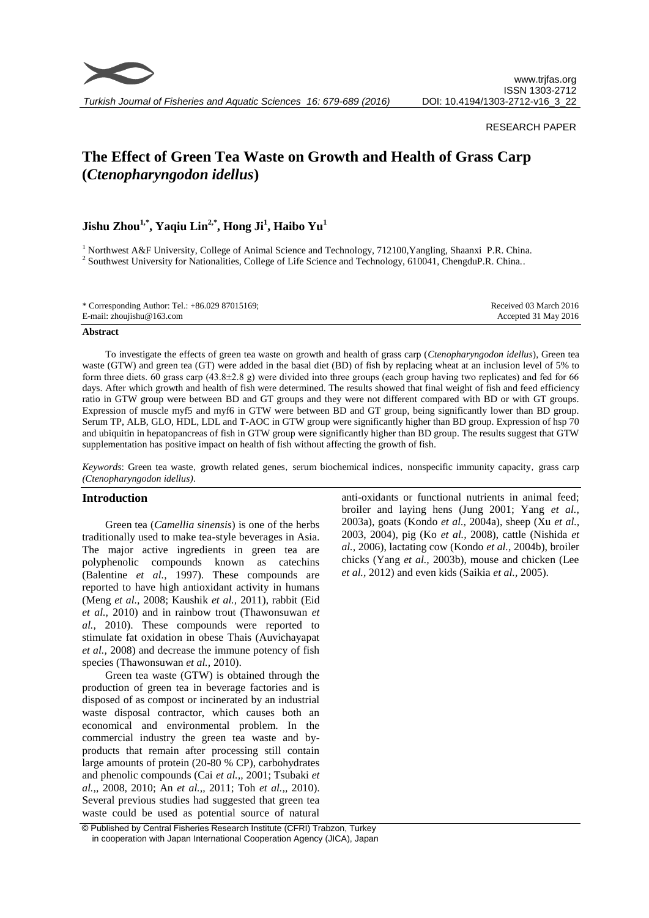

*Turkish Journal of Fisheries and Aquatic Sciences 16: 679-689 (2016)*

#### RESEARCH PAPER

# **The Effect of Green Tea Waste on Growth and Health of Grass Carp (***Ctenopharyngodon idellus***)**

## **Jishu Zhou1,\*, Yaqiu Lin2,\*, Hong Ji<sup>1</sup> , Haibo Yu<sup>1</sup>**

<sup>1</sup> Northwest A&F University, College of Animal Science and Technology, 712100,Yangling, Shaanxi P.R. China. <sup>2</sup> Southwest University for Nationalities, College of Life Science and Technology, 610041, ChengduP.R. China..

| * Corresponding Author: Tel.: $+86.02987015169$ ; | Received 03 March 2016 |
|---------------------------------------------------|------------------------|
| E-mail: zhoujishu@163.com                         | Accepted 31 May 2016   |

#### **Abstract**

To investigate the effects of green tea waste on growth and health of grass carp (*Ctenopharyngodon idellus*), Green tea waste (GTW) and green tea (GT) were added in the basal diet (BD) of fish by replacing wheat at an inclusion level of 5% to form three diets. 60 grass carp (43.8 $\pm$ 2.8 g) were divided into three groups (each group having two replicates) and fed for 66 days. After which growth and health of fish were determined. The results showed that final weight of fish and feed efficiency ratio in GTW group were between BD and GT groups and they were not different compared with BD or with GT groups. Expression of muscle myf5 and myf6 in GTW were between BD and GT group, being significantly lower than BD group. Serum TP, ALB, GLO, HDL, LDL and T-AOC in GTW group were significantly higher than BD group. Expression of hsp 70 and ubiquitin in hepatopancreas of fish in GTW group were significantly higher than BD group. The results suggest that GTW supplementation has positive impact on health of fish without affecting the growth of fish.

*Keywords*: Green tea waste, growth related genes, serum biochemical indices, nonspecific immunity capacity, grass carp *(Ctenopharyngodon idellus)*.

#### **Introduction**

Green tea (*Camellia sinensis*) is one of the herbs traditionally used to make tea-style beverages in Asia. The major active ingredients in green tea are polyphenolic compounds known as catechins (Balentine *et al.,* 1997). These compounds are reported to have high antioxidant activity in humans (Meng *et al.,* 2008; Kaushik *et al.,* 2011), rabbit (Eid *et al.,* 2010) and in rainbow trout (Thawonsuwan *et al.,* 2010). These compounds were reported to stimulate fat oxidation in obese Thais (Auvichayapat *et al.,* 2008) and decrease the immune potency of fish species (Thawonsuwan *et al.,* 2010).

Green tea waste (GTW) is obtained through the production of green tea in beverage factories and is disposed of as compost or incinerated by an industrial waste disposal contractor, which causes both an economical and environmental problem. In the commercial industry the green tea waste and byproducts that remain after processing still contain large amounts of protein (20-80 % CP), carbohydrates and phenolic compounds (Cai *et al.,,* 2001; Tsubaki *et al.,,* 2008, 2010; An *et al.,,* 2011; Toh *et al.,,* 2010). Several previous studies had suggested that green tea waste could be used as potential source of natural

anti-oxidants or functional nutrients in animal feed; broiler and laying hens (Jung 2001; Yang *et al.,* 2003a), goats (Kondo *et al.,* 2004a), sheep (Xu *et al.,* 2003, 2004), pig (Ko *et al.,* 2008), cattle (Nishida *et al.,* 2006), lactating cow (Kondo *et al.,* 2004b), broiler chicks (Yang *et al.,* 2003b), mouse and chicken (Lee *et al.,* 2012) and even kids (Saikia *et al.,* 2005).

© Published by Central Fisheries Research Institute (CFRI) Trabzon, Turkey in cooperation with Japan International Cooperation Agency (JICA), Japan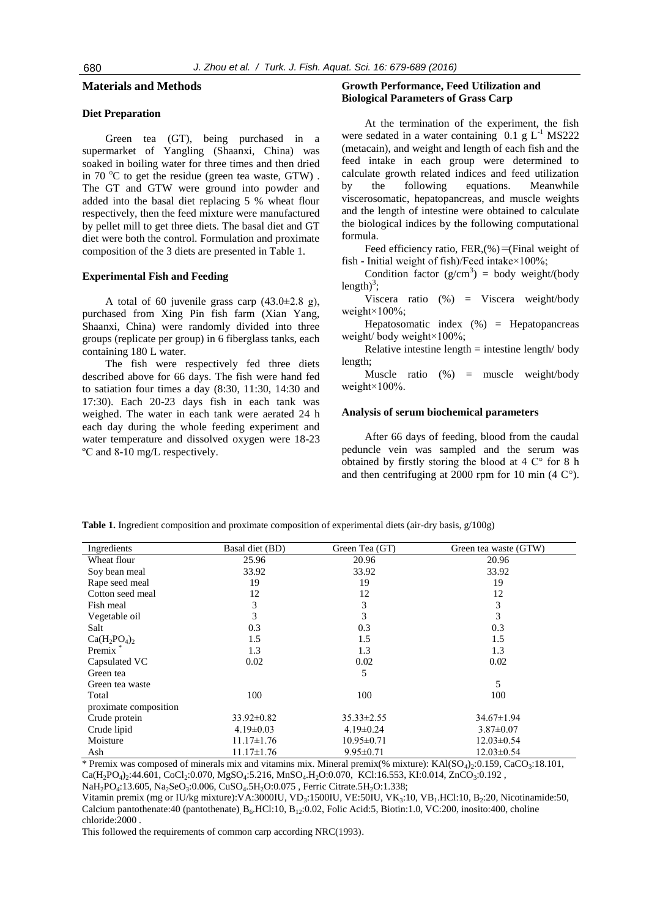#### **Materials and Methods**

## **Diet Preparation**

Green tea (GT), being purchased in a supermarket of Yangling (Shaanxi, China) was soaked in boiling water for three times and then dried in 70 °C to get the residue (green tea waste, GTW). The GT and GTW were ground into powder and added into the basal diet replacing 5 % wheat flour respectively, then the feed mixture were manufactured by pellet mill to get three diets. The basal diet and GT diet were both the control. Formulation and proximate composition of the 3 diets are presented in Table 1.

#### **Experimental Fish and Feeding**

A total of 60 juvenile grass carp  $(43.0\pm2.8$  g), purchased from Xing Pin fish farm (Xian Yang, Shaanxi, China) were randomly divided into three groups (replicate per group) in 6 fiberglass tanks, each containing 180 L water.

The fish were respectively fed three diets described above for 66 days. The fish were hand fed to satiation four times a day (8:30, 11:30, 14:30 and 17:30). Each 20-23 days fish in each tank was weighed. The water in each tank were aerated 24 h each day during the whole feeding experiment and water temperature and dissolved oxygen were 18-23 ºC and 8-10 mg/L respectively.

#### **Growth Performance, Feed Utilization and Biological Parameters of Grass Carp**

At the termination of the experiment, the fish were sedated in a water containing  $0.1 \text{ g L}^{-1}$  MS222 (metacain), and weight and length of each fish and the feed intake in each group were determined to calculate growth related indices and feed utilization by the following equations. Meanwhile viscerosomatic, hepatopancreas, and muscle weights and the length of intestine were obtained to calculate the biological indices by the following computational formula.

Feed efficiency ratio, FER,(%)=(Final weight of fish - Initial weight of fish)/Feed intake×100%;

Condition factor  $(g/cm^3)$  = body weight/(body length)<sup>3</sup>;

Viscera ratio (%) = Viscera weight/body weight×100%;

Hepatosomatic index (%) = Hepatopancreas weight/ body weight×100%;

Relative intestine length  $=$  intestine length/ body length;

Muscle ratio (%) = muscle weight/body weight×100%.

#### **Analysis of serum biochemical parameters**

After 66 days of feeding, blood from the caudal peduncle vein was sampled and the serum was obtained by firstly storing the blood at 4 C° for 8 h and then centrifuging at 2000 rpm for 10 min  $(4 \text{ C}^{\circ})$ .

| Ingredients           | Basal diet (BD)  | Green Tea (GT)   | Green tea waste (GTW) |
|-----------------------|------------------|------------------|-----------------------|
| Wheat flour           | 25.96            | 20.96            | 20.96                 |
| Soy bean meal         | 33.92            | 33.92            | 33.92                 |
| Rape seed meal        | 19               | 19               | 19                    |
| Cotton seed meal      | 12               | 12               | 12                    |
| Fish meal             | 3                | 3                | 3                     |
| Vegetable oil         | 3                | 3                | 3                     |
| Salt                  | 0.3              | 0.3              | 0.3                   |
| $Ca(H_2PO_4)_2$       | 1.5              | 1.5              | 1.5                   |
| Premix <sup>*</sup>   | 1.3              | 1.3              | 1.3                   |
| Capsulated VC         | 0.02             | 0.02             | 0.02                  |
| Green tea             |                  | 5                |                       |
| Green tea waste       |                  |                  | 5                     |
| Total                 | 100              | 100              | 100                   |
| proximate composition |                  |                  |                       |
| Crude protein         | $33.92 \pm 0.82$ | $35.33 \pm 2.55$ | $34.67 \pm 1.94$      |
| Crude lipid           | $4.19 \pm 0.03$  | $4.19 \pm 0.24$  | $3.87 \pm 0.07$       |
| Moisture              | $11.17 \pm 1.76$ | $10.95 \pm 0.71$ | $12.03 \pm 0.54$      |
| Ash                   | $11.17 \pm 1.76$ | $9.95 \pm 0.71$  | $12.03 \pm 0.54$      |

**Table 1.** Ingredient composition and proximate composition of experimental diets (air-dry basis, g/100g)

\* Premix was composed of minerals mix and vitamins mix. Mineral premix(% mixture): KAl( $SO_4$ )<sub>2</sub>:0.159, CaCO<sub>3</sub>:18.101,  $Ca(H_2PO_4)_2:44.601$ , CoCl<sub>2</sub>:0.070, MgSO<sub>4</sub>:5.216, MnSO<sub>4</sub>.H<sub>2</sub>O:0.070, KCl:16.553, KI:0.014, ZnCO<sub>3</sub>:0.192, NaH<sub>2</sub>PO<sub>4</sub>:13.605, Na<sub>2</sub>SeO<sub>3</sub>:0.006, CuSO<sub>4</sub>.5H<sub>2</sub>O:0.075, Ferric Citrate.5H<sub>2</sub>O:1.338;

Vitamin premix (mg or IU/kg mixture): VA:3000IU, VD<sub>3</sub>:1500IU, VE:50IU, VK<sub>3</sub>:10, VB<sub>1</sub>.HCl:10, B<sub>2</sub>:20, Nicotinamide:50, Calcium pantothenate:40 (pantothenate) B<sub>6</sub>.HCl:10, B<sub>12</sub>:0.02, Folic Acid:5, Biotin:1.0, VC:200, inosito:400, choline chloride:2000 .

This followed the requirements of common carp according NRC(1993).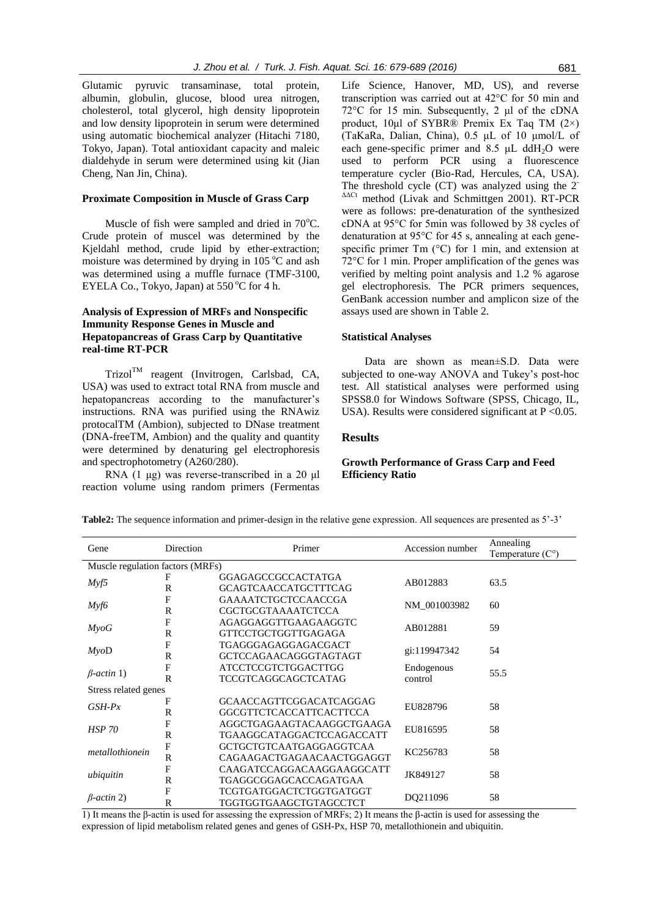Glutamic pyruvic transaminase, total protein, albumin, globulin, glucose, blood urea nitrogen, cholesterol, total glycerol, high density lipoprotein and low density lipoprotein in serum were determined using automatic biochemical analyzer (Hitachi 7180, Tokyo, Japan). Total antioxidant capacity and maleic dialdehyde in serum were determined using kit (Jian Cheng, Nan Jin, China).

## **Proximate Composition in Muscle of Grass Carp**

Muscle of fish were sampled and dried in  $70^{\circ}$ C. Crude protein of muscel was determined by the Kjeldahl method, crude lipid by ether-extraction; moisture was determined by drying in  $105^{\circ}$ C and ash was determined using a muffle furnace (TMF-3100, EYELA Co., Tokyo, Japan) at  $550^{\circ}$ C for 4 h.

## **Analysis of Expression of MRFs and Nonspecific Immunity Response Genes in Muscle and Hepatopancreas of Grass Carp by Quantitative real-time RT-PCR**

Trizol<sup>TM</sup> reagent (Invitrogen, Carlsbad, CA, USA) was used to extract total RNA from muscle and hepatopancreas according to the manufacturer's instructions. RNA was purified using the RNAwiz protocalTM (Ambion), subjected to DNase treatment (DNA-freeTM, Ambion) and the quality and quantity were determined by denaturing gel electrophoresis and spectrophotometry (A260/280).

RNA (1 μg) was reverse-transcribed in a 20 μl reaction volume using random primers (Fermentas

Life Science, Hanover, MD, US), and reverse transcription was carried out at 42°C for 50 min and 72°C for 15 min. Subsequently, 2 μl of the cDNA product, 10μl of SYBR® Premix Ex Taq TM (2×) (TaKaRa, Dalian, China), 0.5 μL of 10 μmol/L of each gene-specific primer and 8.5  $\mu$ L ddH<sub>2</sub>O were used to perform PCR using a fluorescence temperature cycler (Bio-Rad, Hercules, CA, USA). The threshold cycle (CT) was analyzed using the 2<sup>-</sup> method (Livak and Schmittgen 2001). RT-PCR were as follows: pre-denaturation of the synthesized cDNA at 95°C for 5min was followed by 38 cycles of denaturation at 95°C for 45 s, annealing at each genespecific primer Tm (°C) for 1 min, and extension at 72°C for 1 min. Proper amplification of the genes was verified by melting point analysis and 1.2 % agarose gel electrophoresis. The PCR primers sequences, GenBank accession number and amplicon size of the assays used are shown in Table 2.

#### **Statistical Analyses**

Data are shown as mean±S.D. Data were subjected to one-way ANOVA and Tukey's post-hoc test. All statistical analyses were performed using SPSS8.0 for Windows Software (SPSS, Chicago, IL, USA). Results were considered significant at  $P < 0.05$ .

#### **Results**

## **Growth Performance of Grass Carp and Feed Efficiency Ratio**

| Gene                             | Direction    | Primer                       | Accession number | Annealing<br>Temperature $(C^{\circ})$ |
|----------------------------------|--------------|------------------------------|------------------|----------------------------------------|
| Muscle regulation factors (MRFs) |              |                              |                  |                                        |
|                                  |              | GGAGAGCCGCCACTATGA           | AB012883         | 63.5                                   |
| Myf5                             | $\mathsf{R}$ | <b>GCAGTCAACCATGCTTTCAG</b>  |                  |                                        |
|                                  | $\mathbf{F}$ | <b>GAAAATCTGCTCCAACCGA</b>   |                  | 60                                     |
| Myf6                             | R            | CGCTGCGTAAAATCTCCA           | NM_001003982     |                                        |
|                                  | F            | AGAGGAGGTTGAAGAAGGTC         | AB012881         |                                        |
| $M\gamma oG$                     | R            | GTTCCTGCTGGTTGAGAGA          |                  | 59                                     |
|                                  | F            | TGAGGGAGAGGAGACGACT          | gi:119947342     | 54                                     |
| $M$ yoD                          | $\mathbb{R}$ | <b>GCTCCAGAACAGGGTAGTAGT</b> |                  |                                        |
| $\beta$ -actin 1)                | F            | <b>ATCCTCCGTCTGGACTTGG</b>   | Endogenous       | 55.5                                   |
|                                  | $\mathsf{R}$ | TCCGTCAGGCAGCTCATAG          | control          |                                        |
| Stress related genes             |              |                              |                  |                                        |
| $GSH-Px$                         | F            | GCAACCAGTTCGGACATCAGGAG      | EU828796         | 58                                     |
|                                  | $\mathbb{R}$ | GGCGTTCTCACCATTCACTTCCA      |                  |                                        |
| <b>HSP 70</b>                    | F            | AGGCTGAGAAGTACAAGGCTGAAGA    | EU816595         | 58                                     |
| $\mathbb{R}$                     |              | TGAAGGCATAGGACTCCAGACCATT    |                  |                                        |
| metallothionein                  | F            | GCTGCTGTCAATGAGGAGGTCAA      | KC256783         | 58                                     |
|                                  | $\mathbb{R}$ | CAGAAGACTGAGAACAACTGGAGGT    |                  |                                        |
| ubiquitin                        | F            | CAAGATCCAGGACAAGGAAGGCATT    | JK849127         | 58                                     |
|                                  | $\mathsf{R}$ | TGAGGCGGAGCACCAGATGAA        |                  |                                        |
| $\beta$ -actin 2)                | F            | TCGTGATGGACTCTGGTGATGGT      | DQ211096         | 58                                     |
|                                  | R            | TGGTGGTGAAGCTGTAGCCTCT       |                  |                                        |

**Table2:** The sequence information and primer-design in the relative gene expression. All sequences are presented as 5'-3'

1) It means the β-actin is used for assessing the expression of MRFs; 2) It means the β-actin is used for assessing the expression of lipid metabolism related genes and genes of GSH-Px, HSP 70, metallothionein and ubiquitin.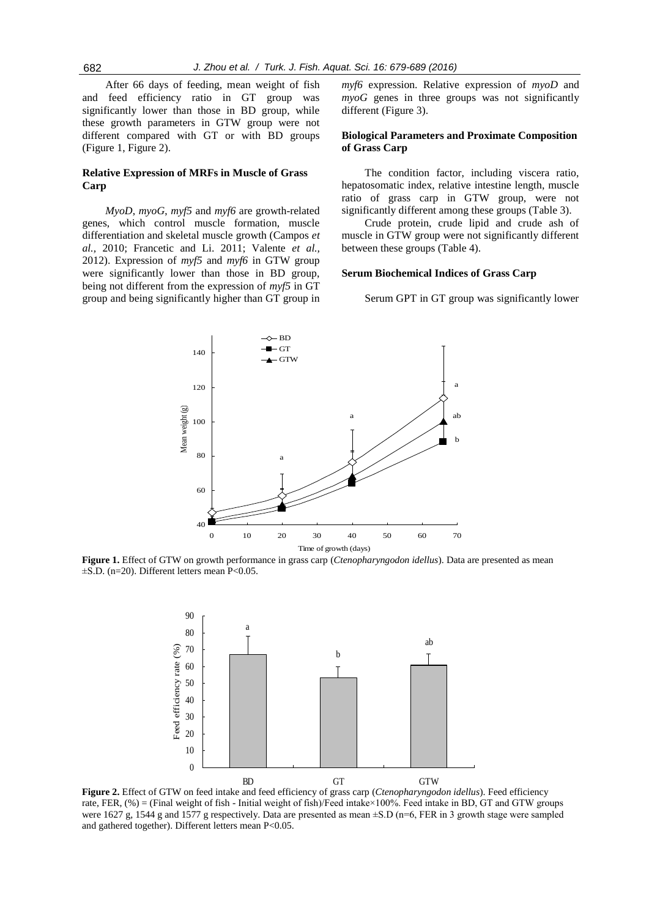After 66 days of feeding, mean weight of fish and feed efficiency ratio in GT group was significantly lower than those in BD group, while these growth parameters in GTW group were not different compared with GT or with BD groups (Figure 1, Figure 2).

#### **Relative Expression of MRFs in Muscle of Grass Carp**

*MyoD*, *myoG*, *myf5* and *myf6* are growth-related genes, which control muscle formation, muscle differentiation and skeletal muscle growth (Campos *et al.,* 2010; Francetic and Li. 2011; Valente *et al.,* 2012). Expression of *myf5* and *myf6* in GTW group were significantly lower than those in BD group, being not different from the expression of *myf5* in GT group and being significantly higher than GT group in *myf6* expression. Relative expression of *myoD* and *myoG* genes in three groups was not significantly different (Figure 3).

#### **Biological Parameters and Proximate Composition of Grass Carp**

The condition factor, including viscera ratio, hepatosomatic index, relative intestine length, muscle ratio of grass carp in GTW group, were not significantly different among these groups (Table 3).

Crude protein, crude lipid and crude ash of muscle in GTW group were not significantly different between these groups (Table 4).

#### **Serum Biochemical Indices of Grass Carp**

Serum GPT in GT group was significantly lower



**Figure 1.** Effect of GTW on growth performance in grass carp (*Ctenopharyngodon idellus*). Data are presented as mean  $\pm$ S.D. (n=20). Different letters mean P<0.05.



**Figure 2.** Effect of GTW on feed intake and feed efficiency of grass carp (*Ctenopharyngodon idellus*). Feed efficiency rate, FER, (%) = (Final weight of fish - Initial weight of fish)/Feed intake×100%. Feed intake in BD, GT and GTW groups were 1627 g, 1544 g and 1577 g respectively. Data are presented as mean  $\pm$ S.D (n=6, FER in 3 growth stage were sampled and gathered together). Different letters mean P<0.05.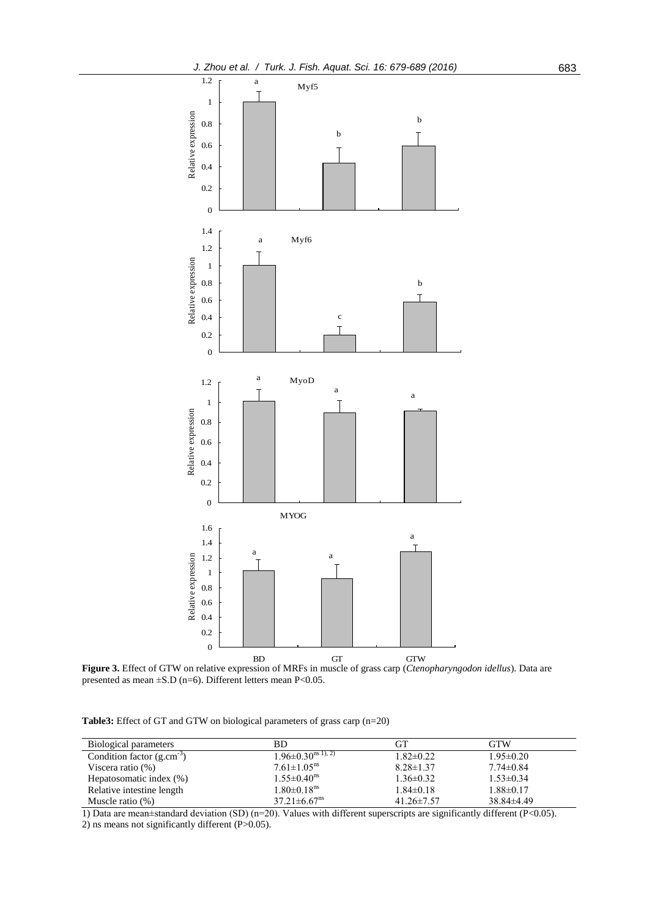

**Figure 3.** Effect of GTW on relative expression of MRFs in muscle of grass carp (*Ctenopharyngodon idellus*). Data are presented as mean  $\pm$ S.D (n=6). Different letters mean P<0.05.

**Table3:** Effect of GT and GTW on biological parameters of grass carp (n=20)

| Biological parameters          | BD.                                | GТ               | <b>GTW</b>      |
|--------------------------------|------------------------------------|------------------|-----------------|
| Condition factor $(g.cm^{-3})$ | $1.96 \pm 0.30^{\text{ns} (1), 2}$ | $1.82 \pm 0.22$  | $1.95 \pm 0.20$ |
| Viscera ratio $(\%)$           | $7.61 \pm 1.05$ <sup>ns</sup>      | $8.28 \pm 1.37$  | $7.74 \pm 0.84$ |
| Hepatosomatic index (%)        | $1.55 \pm 0.40$ <sup>ns</sup>      | $1.36 \pm 0.32$  | $1.53 \pm 0.34$ |
| Relative intestine length      | $1.80 \pm 0.18$ <sup>ns</sup>      | $1.84 \pm 0.18$  | $1.88 \pm 0.17$ |
| Muscle ratio $(\%)$            | $37.21 \pm 6.67$ <sup>ns</sup>     | $41.26 \pm 7.57$ | $38.84\pm4.49$  |

1) Data are mean±standard deviation (SD) (n=20). Values with different superscripts are significantly different (P<0.05).

2) ns means not significantly different (P>0.05).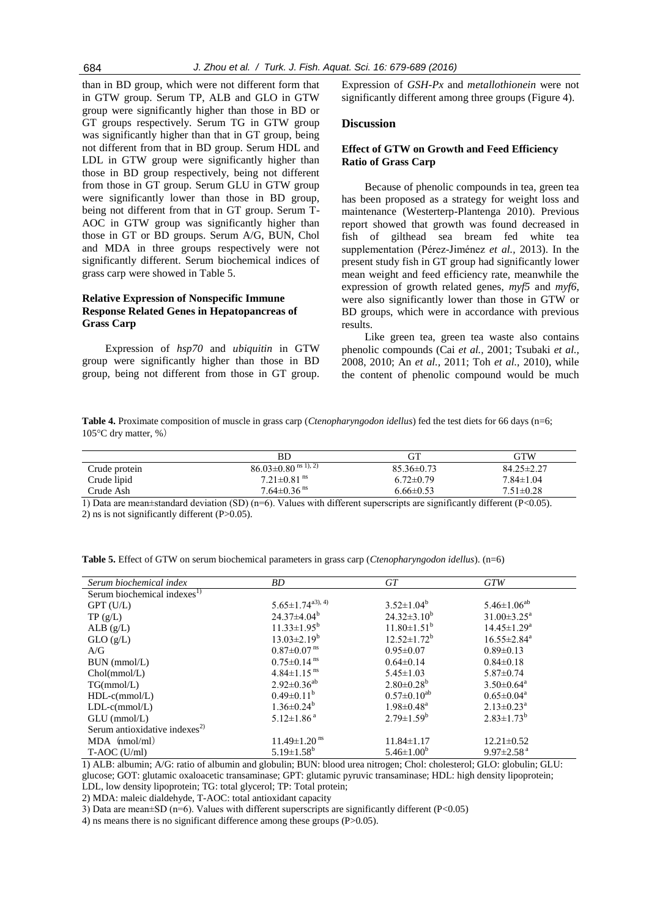than in BD group, which were not different form that in GTW group. Serum TP, ALB and GLO in GTW group were significantly higher than those in BD or GT groups respectively. Serum TG in GTW group was significantly higher than that in GT group, being not different from that in BD group. Serum HDL and LDL in GTW group were significantly higher than those in BD group respectively, being not different from those in GT group. Serum GLU in GTW group were significantly lower than those in BD group, being not different from that in GT group. Serum T-AOC in GTW group was significantly higher than those in GT or BD groups. Serum A/G, BUN, Chol and MDA in three groups respectively were not significantly different. Serum biochemical indices of grass carp were showed in Table 5.

## **Relative Expression of Nonspecific Immune Response Related Genes in Hepatopancreas of Grass Carp**

Expression of *hsp70* and *ubiquitin* in GTW group were significantly higher than those in BD group, being not different from those in GT group. Expression of *GSH-Px* and *metallothionein* were not significantly different among three groups (Figure 4).

#### **Discussion**

### **Effect of GTW on Growth and Feed Efficiency Ratio of Grass Carp**

Because of phenolic compounds in tea, green tea has been proposed as a strategy for weight loss and maintenance (Westerterp-Plantenga 2010). Previous report showed that growth was found decreased in fish of gilthead sea bream fed white tea supplementation (Pérez-Jiménez *et al.,* 2013). In the present study fish in GT group had significantly lower mean weight and feed efficiency rate, meanwhile the expression of growth related genes, *myf5* and *myf6*, were also significantly lower than those in GTW or BD groups, which were in accordance with previous results.

Like green tea, green tea waste also contains phenolic compounds (Cai *et al.,* 2001; Tsubaki *et al.,* 2008, 2010; An *et al.,* 2011; Toh *et al.,* 2010), while the content of phenolic compound would be much

**Table 4.** Proximate composition of muscle in grass carp (*Ctenopharyngodon idellus*) fed the test diets for 66 days (n=6; 105°C dry matter, %)

|               | ВD                                  | GТ               | GTW              |
|---------------|-------------------------------------|------------------|------------------|
| Crude protein | $86.03\pm0.80$ <sup>ns 1), 2)</sup> | $85.36 \pm 0.73$ | $84.25 \pm 2.27$ |
| Crude lipid   | $7.21 \pm 0.81$ <sup>ns</sup>       | $6.72 \pm 0.79$  | $7.84 \pm 1.04$  |
| Crude Ash     | $7.64 \pm 0.36$ <sup>ns</sup>       | 6.66±0.53        | $7.51 \pm 0.28$  |
|               | .<br>.<br>.                         |                  |                  |

1) Data are mean $\pm$ standard deviation (SD) (n=6). Values with different superscripts are significantly different (P<0.05). 2) ns is not significantly different (P>0.05).

|  | <b>Table 5.</b> Effect of GTW on serum biochemical parameters in grass carp ( <i>Ctenopharyngodon idellus</i> ). (n=6) |  |
|--|------------------------------------------------------------------------------------------------------------------------|--|
|--|------------------------------------------------------------------------------------------------------------------------|--|

| Serum biochemical index                   | BD                             | GT                           | <b>GTW</b>                    |
|-------------------------------------------|--------------------------------|------------------------------|-------------------------------|
| Serum biochemical indexes <sup>1)</sup>   |                                |                              |                               |
| $GPT$ (U/L)                               | $5.65 \pm 1.74^{a3, 4}$        | $3.52 \pm 1.04^b$            | $5.46 \pm 1.06^{ab}$          |
| TP(g/L)                                   | $24.37\pm4.04^b$               | $24.32 \pm 3.10^b$           | $31.00 \pm 3.25^{\text{a}}$   |
| ALB(g/L)                                  | $11.33 \pm 1.95^b$             | $11.80 \pm 1.51^b$           | $14.45 \pm 1.29^{\mathrm{a}}$ |
| GLO(g/L)                                  | $13.03 \pm 2.19^b$             | $12.52 \pm 1.72^b$           | $16.55 \pm 2.84^a$            |
| A/G                                       | $0.87 \pm 0.07$ <sup>ns</sup>  | $0.95 \pm 0.07$              | $0.89 \pm 0.13$               |
| BUN (mmol/L)                              | $0.75 \pm 0.14$ <sup>ns</sup>  | $0.64 \pm 0.14$              | $0.84 \pm 0.18$               |
| Chol(mmol/L)                              | $4.84 \pm 1.15$ <sup>ns</sup>  | $5.45 \pm 1.03$              | $5.87 \pm 0.74$               |
| TG(mmol/L)                                | $2.92 \pm 0.36^{ab}$           | $2.80\pm0.28^{b}$            | $3.50 \pm 0.64$ <sup>a</sup>  |
| $HDL-c(mmol/L)$                           | $0.49 \pm 0.11^b$              | $0.57 \pm 0.10^{ab}$         | $0.65 \pm 0.04^a$             |
| $LDL-c(mmol/L)$                           | $1.36 \pm 0.24^b$              | $1.98 \pm 0.48$ <sup>a</sup> | $2.13 \pm 0.23$ <sup>a</sup>  |
| $GLU$ (mmol/L)                            | $5.12 \pm 1.86$ <sup>a</sup>   | $2.79 \pm 1.59^b$            | $2.83 \pm 1.73^b$             |
| Serum antioxidative indexes <sup>2)</sup> |                                |                              |                               |
| $MDA$ (nmol/ml)                           | $11.49 \pm 1.20$ <sup>ns</sup> | $11.84 \pm 1.17$             | $12.21 \pm 0.52$              |
| $T- AOC$ (U/ml)                           | $5.19 \pm 1.58^b$              | $5.46 \pm 1.00^b$            | $9.97 \pm 2.58$ <sup>a</sup>  |

1) ALB: albumin; A/G: ratio of albumin and globulin; BUN: blood urea nitrogen; Chol: cholesterol; GLO: globulin; GLU: glucose; GOT: glutamic oxaloacetic transaminase; GPT: glutamic pyruvic transaminase; HDL: high density lipoprotein; LDL, low density lipoprotein; TG: total glycerol; TP: Total protein;

2) MDA: maleic dialdehyde, T-AOC: total antioxidant capacity

3) Data are mean±SD (n=6). Values with different superscripts are significantly different (P<0.05)

4) ns means there is no significant difference among these groups (P>0.05).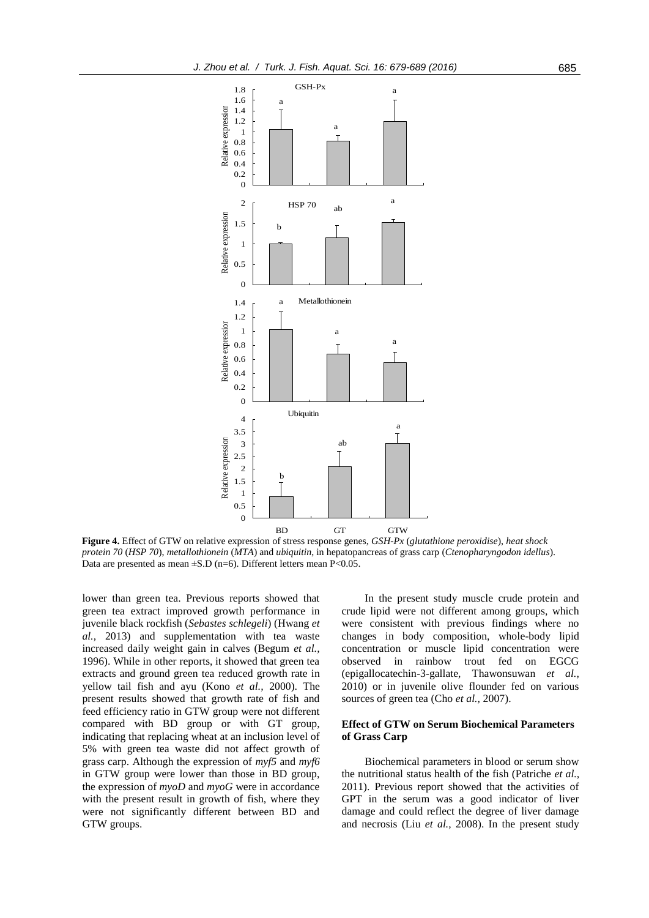

**Figure 4.** Effect of GTW on relative expression of stress response genes, *GSH-Px* (*glutathione peroxidise*), *heat shock protein 70* (*HSP 70*), *metallothionein* (*MTA*) and *ubiquitin*, in hepatopancreas of grass carp (*Ctenopharyngodon idellus*). Data are presented as mean  $\pm$ S.D (n=6). Different letters mean P<0.05.

lower than green tea. Previous reports showed that green tea extract improved growth performance in juvenile black rockfish (*Sebastes schlegeli*) (Hwang *et al.,* 2013) and supplementation with tea waste increased daily weight gain in calves (Begum *et al.,* 1996). While in other reports, it showed that green tea extracts and ground green tea reduced growth rate in yellow tail fish and ayu (Kono *et al.,* 2000). The present results showed that growth rate of fish and feed efficiency ratio in GTW group were not different compared with BD group or with GT group, indicating that replacing wheat at an inclusion level of 5% with green tea waste did not affect growth of grass carp. Although the expression of *myf5* and *myf6* in GTW group were lower than those in BD group, the expression of *myoD* and *myoG* were in accordance with the present result in growth of fish, where they were not significantly different between BD and GTW groups.

In the present study muscle crude protein and crude lipid were not different among groups, which were consistent with previous findings where no changes in body composition, whole-body lipid concentration or muscle lipid concentration were observed in rainbow trout fed on EGCG (epigallocatechin-3-gallate, Thawonsuwan *et al.,* 2010) or in juvenile olive flounder fed on various sources of green tea (Cho *et al.,* 2007).

#### **Effect of GTW on Serum Biochemical Parameters of Grass Carp**

Biochemical parameters in blood or serum show the nutritional status health of the fish (Patriche *et al.,* 2011). Previous report showed that the activities of GPT in the serum was a good indicator of liver damage and could reflect the degree of liver damage and necrosis (Liu *et al.,* 2008). In the present study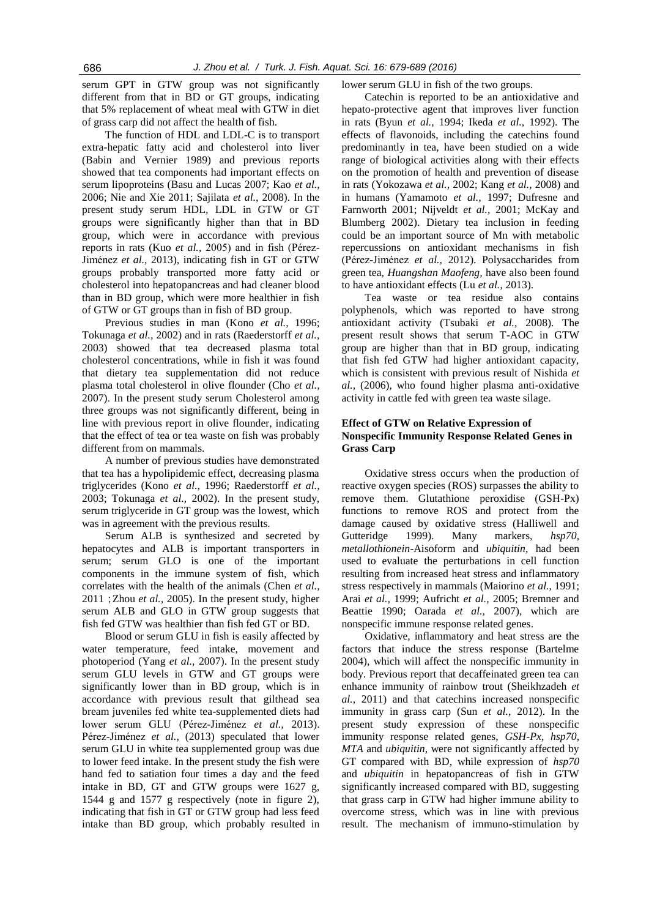serum GPT in GTW group was not significantly different from that in BD or GT groups, indicating that 5% replacement of wheat meal with GTW in diet of grass carp did not affect the health of fish.

The function of HDL and LDL-C is to transport extra-hepatic fatty acid and cholesterol into liver (Babin and Vernier 1989) and previous reports showed that tea components had important effects on serum lipoproteins (Basu and Lucas 2007; Kao *et al.,* 2006; Nie and Xie 2011; Sajilata *et al.,* 2008). In the present study serum HDL, LDL in GTW or GT groups were significantly higher than that in BD group, which were in accordance with previous reports in rats (Kuo *et al.,* 2005) and in fish (Pérez-Jiménez *et al.,* 2013), indicating fish in GT or GTW groups probably transported more fatty acid or cholesterol into hepatopancreas and had cleaner blood than in BD group, which were more healthier in fish of GTW or GT groups than in fish of BD group.

Previous studies in man (Kono *et al.,* 1996; Tokunaga *et al.,* 2002) and in rats (Raederstorff *et al.,* 2003) showed that tea decreased plasma total cholesterol concentrations, while in fish it was found that dietary tea supplementation did not reduce plasma total cholesterol in olive flounder (Cho *et al.,* 2007). In the present study serum Cholesterol among three groups was not significantly different, being in line with previous report in olive flounder, indicating that the effect of tea or tea waste on fish was probably different from on mammals.

A number of previous studies have demonstrated that tea has a hypolipidemic effect, decreasing plasma triglycerides (Kono *et al.,* 1996; Raederstorff *et al.,* 2003; Tokunaga *et al.,* 2002). In the present study, serum triglyceride in GT group was the lowest, which was in agreement with the previous results.

Serum ALB is synthesized and secreted by hepatocytes and ALB is important transporters in serum; serum GLO is one of the important components in the immune system of fish, which correlates with the health of the animals (Chen *et al.,* 2011;Zhou *et al.,* 2005). In the present study, higher serum ALB and GLO in GTW group suggests that fish fed GTW was healthier than fish fed GT or BD.

Blood or serum GLU in fish is easily affected by water temperature, feed intake, movement and photoperiod (Yang *et al.,* 2007). In the present study serum GLU levels in GTW and GT groups were significantly lower than in BD group, which is in accordance with previous result that gilthead sea bream juveniles fed white tea-supplemented diets had lower serum GLU (Pérez-Jiménez *et al.,* 2013). Pérez-Jiménez *et al.,* (2013) speculated that lower serum GLU in white tea supplemented group was due to lower feed intake. In the present study the fish were hand fed to satiation four times a day and the feed intake in BD, GT and GTW groups were 1627 g, 1544 g and 1577 g respectively (note in figure 2), indicating that fish in GT or GTW group had less feed intake than BD group, which probably resulted in lower serum GLU in fish of the two groups.

Catechin is reported to be an antioxidative and hepato-protective agent that improves liver function in rats (Byun *et al.,* 1994; Ikeda *et al.,* 1992). The effects of flavonoids, including the catechins found predominantly in tea, have been studied on a wide range of biological activities along with their effects on the promotion of health and prevention of disease in rats (Yokozawa *et al.,* 2002; Kang *et al.,* 2008) and in humans (Yamamoto *et al.,* 1997; Dufresne and Farnworth 2001; Nijveldt *et al.,* 2001; McKay and Blumberg 2002). Dietary tea inclusion in feeding could be an important source of Mn with metabolic repercussions on antioxidant mechanisms in fish (Pérez-Jiménez *et al.,* 2012). Polysaccharides from green tea, *Huangshan Maofeng,* have also been found to have antioxidant effects (Lu *et al.,* 2013).

Tea waste or tea residue also contains polyphenols, which was reported to have strong antioxidant activity (Tsubaki *et al.,* 2008). The present result shows that serum T-AOC in GTW group are higher than that in BD group, indicating that fish fed GTW had higher antioxidant capacity, which is consistent with previous result of Nishida *et al.,* (2006), who found higher plasma anti-oxidative activity in cattle fed with green tea waste silage.

#### **Effect of GTW on Relative Expression of Nonspecific Immunity Response Related Genes in Grass Carp**

Oxidative stress occurs when the production of reactive oxygen species (ROS) surpasses the ability to remove them. Glutathione peroxidise (GSH-Px) functions to remove ROS and protect from the damage caused by oxidative stress (Halliwell and Gutteridge 1999). Many markers, *hsp70*, *metallothionein*-Aisoform and *ubiquitin*, had been used to evaluate the perturbations in cell function resulting from increased heat stress and inflammatory stress respectively in mammals (Maiorino *et al.,* 1991; Arai *et al.,* 1999; Aufricht *et al.,* 2005; Bremner and Beattie 1990; Oarada *et al.,* 2007), which are nonspecific immune response related genes.

Oxidative, inflammatory and heat stress are the factors that induce the stress response (Bartelme 2004), which will affect the nonspecific immunity in body. Previous report that decaffeinated green tea can enhance immunity of rainbow trout (Sheikhzadeh *et al.,* 2011) and that catechins increased nonspecific immunity in grass carp (Sun *et al.,* 2012). In the present study expression of these nonspecific immunity response related genes, *GSH-Px*, *hsp70*, *MTA* and *ubiquitin*, were not significantly affected by GT compared with BD, while expression of *hsp70* and *ubiquitin* in hepatopancreas of fish in GTW significantly increased compared with BD, suggesting that grass carp in GTW had higher immune ability to overcome stress, which was in line with previous result. The mechanism of immuno-stimulation by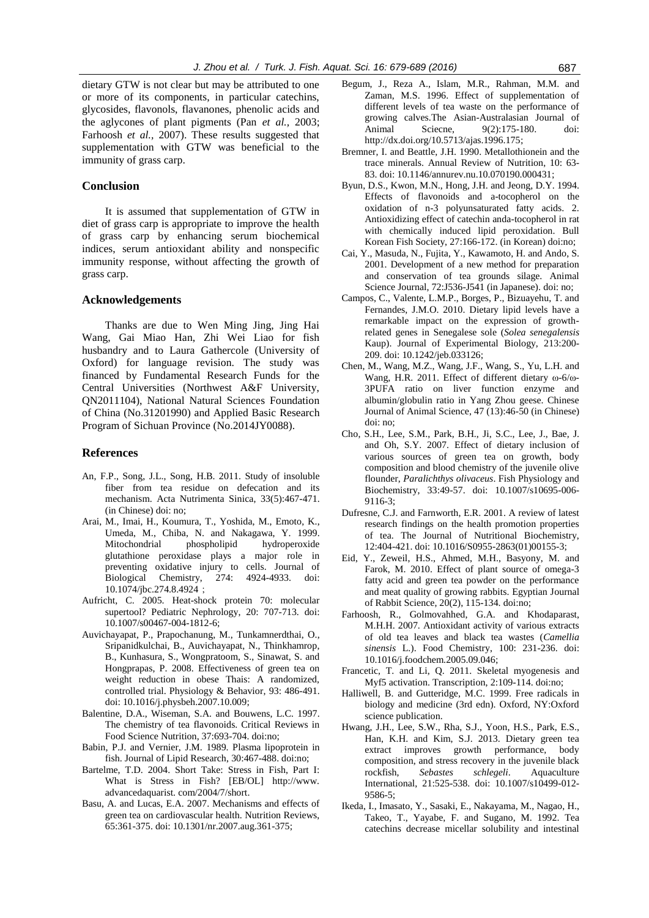dietary GTW is not clear but may be attributed to one or more of its components, in particular catechins, glycosides, flavonols, flavanones, phenolic acids and the aglycones of plant pigments (Pan *et al.,* 2003; Farhoosh *et al.,* 2007). These results suggested that supplementation with GTW was beneficial to the immunity of grass carp.

## **Conclusion**

It is assumed that supplementation of GTW in diet of grass carp is appropriate to improve the health of grass carp by enhancing serum biochemical indices, serum antioxidant ability and nonspecific immunity response, without affecting the growth of grass carp.

## **Acknowledgements**

Thanks are due to Wen Ming Jing, Jing Hai Wang, Gai Miao Han, Zhi Wei Liao for fish husbandry and to Laura Gathercole (University of Oxford) for language revision. The study was financed by Fundamental Research Funds for the Central Universities (Northwest A&F University, QN2011104), National Natural Sciences Foundation of China (No.31201990) and Applied Basic Research Program of Sichuan Province (No.2014JY0088).

#### **References**

- An, F.P., Song, J.L., Song, H.B. 2011. Study of insoluble fiber from tea residue on defecation and its mechanism. Acta Nutrimenta Sinica, 33(5):467-471. (in Chinese) doi: no;
- Arai, M., Imai, H., Koumura, T., Yoshida, M., Emoto, K., Umeda, M., Chiba, N. and Nakagawa, Y. 1999. Mitochondrial phospholipid hydroperoxide glutathione peroxidase plays a major role in preventing oxidative injury to cells. Journal of Biological Chemistry, 274: 4924-4933. doi: 10.1074/jbc.274.8.4924;
- Aufricht, C. 2005. Heat-shock protein 70: molecular supertool? Pediatric Nephrology, 20: 707-713. doi: 10.1007/s00467-004-1812-6;
- Auvichayapat, P., Prapochanung, M., Tunkamnerdthai, O., Sripanidkulchai, B., Auvichayapat, N., Thinkhamrop, B., Kunhasura, S., Wongpratoom, S., Sinawat, S. and Hongprapas, P. 2008. Effectiveness of green tea on weight reduction in obese Thais: A randomized, controlled trial. Physiology & Behavior, 93: 486-491. doi: 10.1016/j.physbeh.2007.10.009;
- Balentine, D.A., Wiseman, S.A. and Bouwens, L.C. 1997. The chemistry of tea flavonoids. Critical Reviews in Food Science Nutrition, 37:693-704. doi:no;
- Babin, P.J. and Vernier, J.M. 1989. Plasma lipoprotein in fish. Journal of Lipid Research, 30:467-488. doi:no;
- Bartelme, T.D. 2004. Short Take: Stress in Fish, Part I: What is Stress in Fish? [EB/OL] http://www. advancedaquarist. com/2004/7/short.
- Basu, A. and Lucas, E.A. 2007. Mechanisms and effects of green tea on cardiovascular health. Nutrition Reviews, 65:361-375. doi: 10.1301/nr.2007.aug.361-375;
- Begum, J., Reza A., Islam, M.R., Rahman, M.M. and Zaman, M.S. 1996. Effect of supplementation of different levels of tea waste on the performance of growing calves.The Asian-Australasian Journal of Animal Sciecne, 9(2):175-180. doi: http://dx.doi.org/10.5713/ajas.1996.175;
- Bremner, I. and Beattle, J.H. 1990. Metallothionein and the trace minerals. Annual Review of Nutrition, 10: 63- 83. doi: 10.1146/annurev.nu.10.070190.000431;
- Byun, D.S., Kwon, M.N., Hong, J.H. and Jeong, D.Y. 1994. Effects of flavonoids and a-tocopherol on the oxidation of n-3 polyunsaturated fatty acids. 2. Antioxidizing effect of catechin anda-tocopherol in rat with chemically induced lipid peroxidation. Bull Korean Fish Society, 27:166-172. (in Korean) doi:no;
- Cai, Y., Masuda, N., Fujita, Y., Kawamoto, H. and Ando, S. 2001. Development of a new method for preparation and conservation of tea grounds silage. Animal Science Journal, 72:J536-J541 (in Japanese). doi: no;
- Campos, C., Valente, L.M.P., Borges, P., Bizuayehu, T. and Fernandes, J.M.O. 2010. Dietary lipid levels have a remarkable impact on the expression of growthrelated genes in Senegalese sole (*Solea senegalensis* Kaup). Journal of Experimental Biology, 213:200- 209. doi: 10.1242/jeb.033126;
- Chen, M., Wang, M.Z., Wang, J.F., Wang, S., Yu, L.H. and Wang, H.R. 2011. Effect of different dietary ω-6/ω-3PUFA ratio on liver function enzyme and albumin/globulin ratio in Yang Zhou geese. Chinese Journal of Animal Science, 47 (13):46-50 (in Chinese) doi: no;
- Cho, S.H., Lee, S.M., Park, B.H., Ji, S.C., Lee, J., Bae, J. and Oh, S.Y. 2007. Effect of dietary inclusion of various sources of green tea on growth, body composition and blood chemistry of the juvenile olive flounder, *Paralichthys olivaceus*. Fish Physiology and Biochemistry, 33:49-57. doi: 10.1007/s10695-006- 9116-3;
- Dufresne, C.J. and Farnworth, E.R. 2001. A review of latest research findings on the health promotion properties of tea. The Journal of Nutritional Biochemistry, 12:404-421. doi: 10.1016/S0955-2863(01)00155-3;
- Eid, Y., Zeweil, H.S., Ahmed, M.H., Basyony, M. and Farok, M. 2010. Effect of plant source of omega-3 fatty acid and green tea powder on the performance and meat quality of growing rabbits. Egyptian Journal of Rabbit Science, 20(2), 115-134. doi:no;
- Farhoosh, R., Golmovahhed, G.A. and Khodaparast, M.H.H. 2007. Antioxidant activity of various extracts of old tea leaves and black tea wastes (*Camellia sinensis* L.). Food Chemistry, 100: 231-236. doi: 10.1016/j.foodchem.2005.09.046;
- Francetic, T. and Li, Q. 2011. Skeletal myogenesis and Myf5 activation. Transcription, 2:109-114. doi:no;
- Halliwell, B. and Gutteridge, M.C. 1999. Free radicals in biology and medicine (3rd edn). Oxford, NY:Oxford science publication.
- Hwang, J.H., Lee, S.W., Rha, S.J., Yoon, H.S., Park, E.S., Han, K.H. and Kim, S.J. 2013. Dietary green tea extract improves growth performance, body composition, and stress recovery in the juvenile black rockfish, *Sebastes schlegeli*. Aquaculture International, 21:525-538. doi: 10.1007/s10499-012- 9586-5;
- Ikeda, I., Imasato, Y., Sasaki, E., Nakayama, M., Nagao, H., Takeo, T., Yayabe, F. and Sugano, M. 1992. Tea catechins decrease micellar solubility and intestinal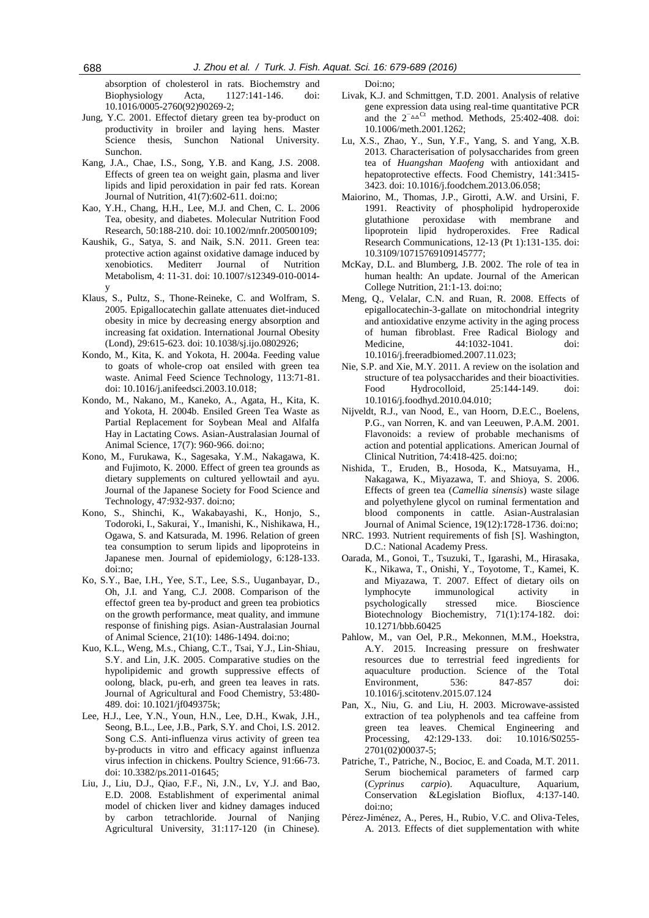absorption of cholesterol in rats. Biochemstry and Biophysiology Acta, 1127:141-146. doi: 10.1016/0005-2760(92)90269-2;

- Jung, Y.C. 2001. Effectof dietary green tea by-product on productivity in broiler and laying hens. Master Science thesis, Sunchon National University. Sunchon.
- Kang, J.A., Chae, I.S., Song, Y.B. and Kang, J.S. 2008. Effects of green tea on weight gain, plasma and liver lipids and lipid peroxidation in pair fed rats. Korean Journal of Nutrition, 41(7):602-611. doi:no;
- Kao, Y.H., Chang, H.H., Lee, M.J. and Chen, C. L. 2006 Tea, obesity, and diabetes. Molecular Nutrition Food Research, 50:188-210. doi: 10.1002/mnfr.200500109;
- Kaushik, G., Satya, S. and Naik, S.N. 2011. Green tea: protective action against oxidative damage induced by xenobiotics. Mediterr Journal of Nutrition Metabolism, 4: 11-31. doi: 10.1007/s12349-010-0014 y
- Klaus, S., Pultz, S., Thone-Reineke, C. and Wolfram, S. 2005. Epigallocatechin gallate attenuates diet-induced obesity in mice by decreasing energy absorption and increasing fat oxidation. International Journal Obesity (Lond), 29:615-623. doi: 10.1038/sj.ijo.0802926;
- Kondo, M., Kita, K. and Yokota, H. 2004a. Feeding value to goats of whole-crop oat ensiled with green tea waste. Animal Feed Science Technology, 113:71-81. doi: 10.1016/j.anifeedsci.2003.10.018;
- Kondo, M., Nakano, M., Kaneko, A., Agata, H., Kita, K. and Yokota, H. 2004b. Ensiled Green Tea Waste as Partial Replacement for Soybean Meal and Alfalfa Hay in Lactating Cows. Asian-Australasian Journal of Animal Science, 17(7): 960-966. doi:no;
- Kono, M., Furukawa, K., Sagesaka, Y.M., Nakagawa, K. and Fujimoto, K. 2000. Effect of green tea grounds as dietary supplements on cultured yellowtail and ayu. Journal of the Japanese Society for Food Science and Technology, 47:932-937. doi:no;
- Kono, S., Shinchi, K., Wakabayashi, K., Honjo, S., Todoroki, I., Sakurai, Y., Imanishi, K., Nishikawa, H., Ogawa, S. and Katsurada, M. 1996. Relation of green tea consumption to serum lipids and lipoproteins in Japanese men. Journal of epidemiology, 6:128-133. doi:no;
- Ko, S.Y., Bae, I.H., Yee, S.T., Lee, S.S., Uuganbayar, D., Oh, J.I. and Yang, C.J. 2008. Comparison of the effectof green tea by-product and green tea probiotics on the growth performance, meat quality, and immune response of finishing pigs. Asian-Australasian Journal of Animal Science, 21(10): 1486-1494. doi:no;
- Kuo, K.L., Weng, M.s., Chiang, C.T., Tsai, Y.J., Lin-Shiau, S.Y. and Lin, J.K. 2005. Comparative studies on the hypolipidemic and growth suppressive effects of oolong, black, pu-erh, and green tea leaves in rats. Journal of Agricultural and Food Chemistry, 53:480- 489. doi: 10.1021/jf049375k;
- Lee, H.J., Lee, Y.N., Youn, H.N., Lee, D.H., Kwak, J.H., Seong, B.L., Lee, J.B., Park, S.Y. and Choi, I.S. 2012. Song C.S. Anti-influenza virus activity of green tea by-products in vitro and efficacy against influenza virus infection in chickens. Poultry Science, 91:66-73. doi: 10.3382/ps.2011-01645;
- Liu, J., Liu, D.J., Qiao, F.F., Ni, J.N., Lv, Y.J. and Bao, E.D. 2008. Establishment of experimental animal model of chicken liver and kidney damages induced by carbon tetrachloride. Journal of Nanjing Agricultural University, 31:117-120 (in Chinese).

Doi:no;

- Livak, K.J. and Schmittgen, T.D. 2001. Analysis of relative gene expression data using real-time quantitative PCR and the  $2^{-\Delta\Delta}$ <sup>Ct</sup> method. Methods, 25:402-408. doi: 10.1006/meth.2001.1262;
- Lu, X.S., Zhao, Y., Sun, Y.F., Yang, S. and Yang, X.B. 2013. Characterisation of polysaccharides from green tea of *Huangshan Maofeng* with antioxidant and hepatoprotective effects. Food Chemistry, 141:3415- 3423. doi: 10.1016/j.foodchem.2013.06.058;
- Maiorino, M., Thomas, J.P., Girotti, A.W. and Ursini, F. 1991. Reactivity of phospholipid hydroperoxide glutathione peroxidase with membrane and lipoprotein lipid hydroperoxides. Free Radical Research Communications, 12-13 (Pt 1):131-135. doi: 10.3109/10715769109145777;
- McKay, D.L. and Blumberg, J.B. 2002. The role of tea in human health: An update. Journal of the American College Nutrition, 21:1-13. doi:no;
- Meng, Q., Velalar, C.N. and Ruan, R. 2008. Effects of epigallocatechin-3-gallate on mitochondrial integrity and antioxidative enzyme activity in the aging process of human fibroblast. Free Radical Biology and Medicine, 44:1032-1041. doi: 10.1016/j.freeradbiomed.2007.11.023;
- Nie, S.P. and Xie, M.Y. 2011. A review on the isolation and structure of tea polysaccharides and their bioactivities. Food Hydrocolloid, 25:144-149. doi: 10.1016/j.foodhyd.2010.04.010;
- Nijveldt, R.J., van Nood, E., van Hoorn, D.E.C., Boelens, P.G., van Norren, K. and van Leeuwen, P.A.M. 2001. Flavonoids: a review of probable mechanisms of action and potential applications. American Journal of Clinical Nutrition, 74:418-425. doi:no;
- Nishida, T., Eruden, B., Hosoda, K., Matsuyama, H., Nakagawa, K., Miyazawa, T. and Shioya, S. 2006. Effects of green tea (*Camellia sinensis*) waste silage and polyethylene glycol on ruminal fermentation and blood components in cattle. Asian-Australasian Journal of Animal Science, 19(12):1728-1736. doi:no;
- NRC. 1993. Nutrient requirements of fish [S]. Washington, D.C.: National Academy Press.
- Oarada, M., Gonoi, T., Tsuzuki, T., Igarashi, M., Hirasaka, K., Nikawa, T., Onishi, Y., Toyotome, T., Kamei, K. and Miyazawa, T. 2007. Effect of dietary oils on lymphocyte immunological activity in psychologically stressed mice. Bioscience Biotechnology Biochemistry, 71(1):174-182. doi: 10.1271/bbb.60425
- Pahlow, M., van Oel, P.R., Mekonnen, M.M., Hoekstra, A.Y. 2015. Increasing pressure on freshwater resources due to terrestrial feed ingredients for aquaculture production. Science of the Total Environment, 536: 847-857 doi: 10.1016/j.scitotenv.2015.07.124
- Pan, X., Niu, G. and Liu, H. 2003. Microwave-assisted extraction of tea polyphenols and tea caffeine from green tea leaves. Chemical Engineering and Processing, 42:129-133. doi: 10.1016/S0255- 2701(02)00037-5;
- Patriche, T., Patriche, N., Bocioc, E. and Coada, M.T. 2011. Serum biochemical parameters of farmed carp (*Cyprinus carpio*). Aquaculture, Aquarium, Conservation &Legislation Bioflux, 4:137-140. doi:no;
- Pérez-Jiménez, A., Peres, H., Rubio, V.C. and Oliva-Teles, A. 2013. Effects of diet supplementation with white